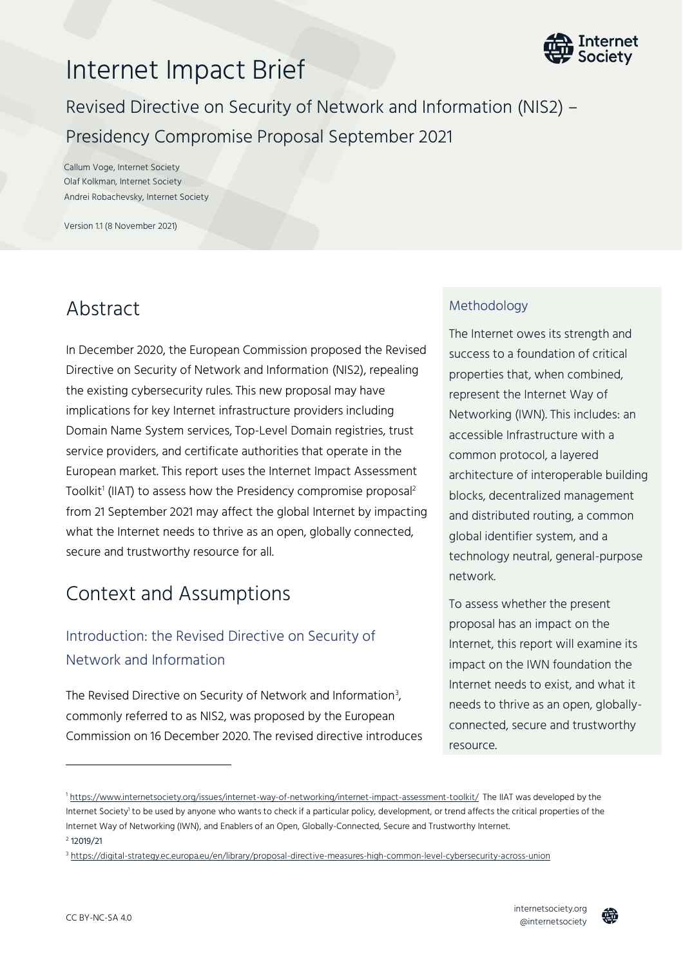

# Internet Impact Brief

Revised Directive on Security of Network and Information (NIS2) – Presidency Compromise Proposal September 2021

Callum Voge, Internet Society Olaf Kolkman, Internet Society Andrei Robachevsky, Internet Society

Version 1.1 (8 November 2021)

# Abstract

In December 2020, the European Commission proposed the Revised Directive on Security of Network and Information (NIS2), repealing the existing cybersecurity rules. This new proposal may have implications for key Internet infrastructure providers including Domain Name System services, Top-Level Domain registries, trust service providers, and certificate authorities that operate in the European market. This report uses the Internet Impact Assessment Toolkit<sup>1</sup> (IIAT) to assess how the Presidency compromise proposal<sup>2</sup> from 21 September 2021 may affect the global Internet by impacting what the Internet needs to thrive as an open, globally connected, secure and trustworthy resource for all.

# Context and Assumptions

# Introduction: the Revised Directive on Security of Network and Information

The Revised Directive on Security of Network and Information $^3$ , commonly referred to as NIS2, was proposed by the European Commission on 16 December 2020. The revised directive introduces

### Methodology

The Internet owes its strength and success to a foundation of critical properties that, when combined, represent the Internet Way of Networking (IWN). This includes: an accessible Infrastructure with a common protocol, a layered architecture of interoperable building blocks, decentralized management and distributed routing, a common global identifier system, and a technology neutral, general-purpose network.

To assess whether the present proposal has an impact on the Internet, this report will examine its impact on the IWN foundation the Internet needs to exist, and what it needs to thrive as an open, globallyconnected, secure and trustworthy resource.



<sup>1</sup> <https://www.internetsociety.org/issues/internet-way-of-networking/internet-impact-assessment-toolkit/>The IIAT was developed by the Internet Society<sup>1</sup> to be used by anyone who wants to check if a particular policy, development, or trend affects the critical properties of the Internet Way of Networking (IWN), and Enablers of an Open, Globally-Connected, Secure and Trustworthy Internet. 2 12019/21

<sup>3</sup> <https://digital-strategy.ec.europa.eu/en/library/proposal-directive-measures-high-common-level-cybersecurity-across-union>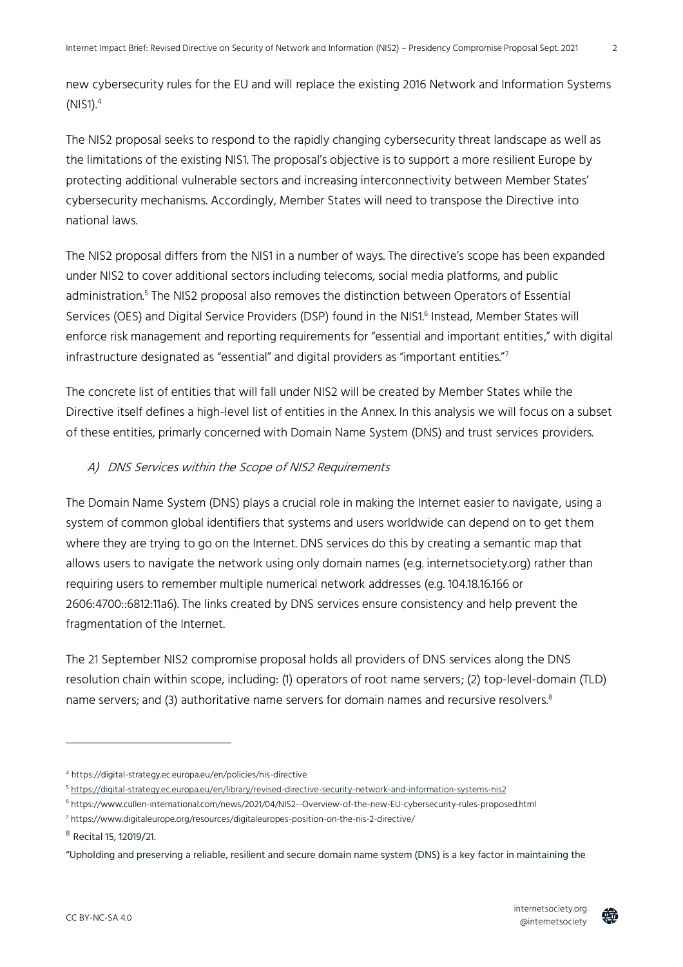new cybersecurity rules for the EU and will replace the existing 2016 Network and Information Systems  $(NIS1).<sup>4</sup>$ 

The NIS2 proposal seeks to respond to the rapidly changing cybersecurity threat landscape as well as the limitations of the existing NIS1. The proposal's objective is to support a more resilient Europe by protecting additional vulnerable sectors and increasing interconnectivity between Member States' cybersecurity mechanisms. Accordingly, Member States will need to transpose the Directive into national laws.

The NIS2 proposal differs from the NIS1 in a number of ways. The directive's scope has been expanded under NIS2 to cover additional sectors including telecoms, social media platforms, and public administration.<sup>5</sup> The NIS2 proposal also removes the distinction between Operators of Essential Services (OES) and Digital Service Providers (DSP) found in the NIS1. 6 Instead, Member States will enforce risk management and reporting requirements for "essential and important entities," with digital infrastructure designated as "essential" and digital providers as "important entities."7

The concrete list of entities that will fall under NIS2 will be created by Member States while the Directive itself defines a high-level list of entities in the Annex. In this analysis we will focus on a subset of these entities, primarly concerned with Domain Name System (DNS) and trust services providers.

#### A) DNS Services within the Scope of NIS2 Requirements

The Domain Name System (DNS) plays a crucial role in making the Internet easier to navigate, using a system of common global identifiers that systems and users worldwide can depend on to get them where they are trying to go on the Internet. DNS services do this by creating a semantic map that allows users to navigate the network using only domain names (e.g. internetsociety.org) rather than requiring users to remember multiple numerical network addresses (e.g. 104.18.16.166 or 2606:4700::6812:11a6). The links created by DNS services ensure consistency and help prevent the fragmentation of the Internet.

The 21 September NIS2 compromise proposal holds all providers of DNS services along the DNS resolution chain within scope, including: (1) operators of root name servers; (2) top-level-domain (TLD) name servers; and (3) authoritative name servers for domain names and recursive resolvers.<sup>8</sup>



<sup>4</sup> https://digital-strategy.ec.europa.eu/en/policies/nis-directive

<sup>5</sup> <https://digital-strategy.ec.europa.eu/en/library/revised-directive-security-network-and-information-systems-nis2>

<sup>6</sup> https://www.cullen-international.com/news/2021/04/NIS2--Overview-of-the-new-EU-cybersecurity-rules-proposed.html

<sup>7</sup> https://www.digitaleurope.org/resources/digitaleuropes-position-on-the-nis-2-directive/

<sup>8</sup> Recital 15, 12019/21.

<sup>&</sup>quot;Upholding and preserving a reliable, resilient and secure domain name system (DNS) is a key factor in maintaining the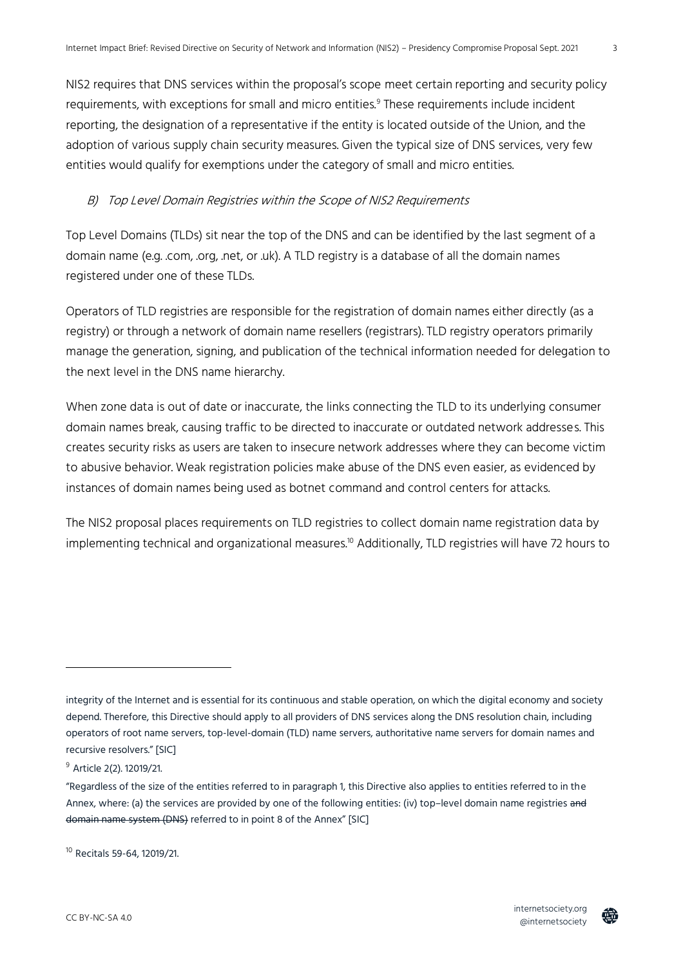NIS2 requires that DNS services within the proposal's scope meet certain reporting and security policy requirements, with exceptions for small and micro entities.<sup>9</sup> These requirements include incident reporting, the designation of a representative if the entity is located outside of the Union, and the adoption of various supply chain security measures. Given the typical size of DNS services, very few entities would qualify for exemptions under the category of small and micro entities.

## B) Top Level Domain Registries within the Scope of NIS2 Requirements

Top Level Domains (TLDs) sit near the top of the DNS and can be identified by the last segment of a domain name (e.g. .com, .org, .net, or .uk). A TLD registry is a database of all the domain names registered under one of these TLDs.

Operators of TLD registries are responsible for the registration of domain names either directly (as a registry) or through a network of domain name resellers (registrars). TLD registry operators primarily manage the generation, signing, and publication of the technical information needed for delegation to the next level in the DNS name hierarchy.

When zone data is out of date or inaccurate, the links connecting the TLD to its underlying consumer domain names break, causing traffic to be directed to inaccurate or outdated network addresses. This creates security risks as users are taken to insecure network addresses where they can become victim to abusive behavior. Weak registration policies make abuse of the DNS even easier, as evidenced by instances of domain names being used as botnet command and control centers for attacks.

The NIS2 proposal places requirements on TLD registries to collect domain name registration data by implementing technical and organizational measures.<sup>10</sup> Additionally, TLD registries will have 72 hours to

<sup>10</sup> Recitals 59-64, 12019/21.



integrity of the Internet and is essential for its continuous and stable operation, on which the digital economy and society depend. Therefore, this Directive should apply to all providers of DNS services along the DNS resolution chain, including operators of root name servers, top-level-domain (TLD) name servers, authoritative name servers for domain names and recursive resolvers." [SIC]

<sup>&</sup>lt;sup>9</sup> Article 2(2). 12019/21.

<sup>&</sup>quot;Regardless of the size of the entities referred to in paragraph 1, this Directive also applies to entities referred to in the Annex, where: (a) the services are provided by one of the following entities: (iv) top–level domain name registries and domain name system (DNS) referred to in point 8 of the Annex" [SIC]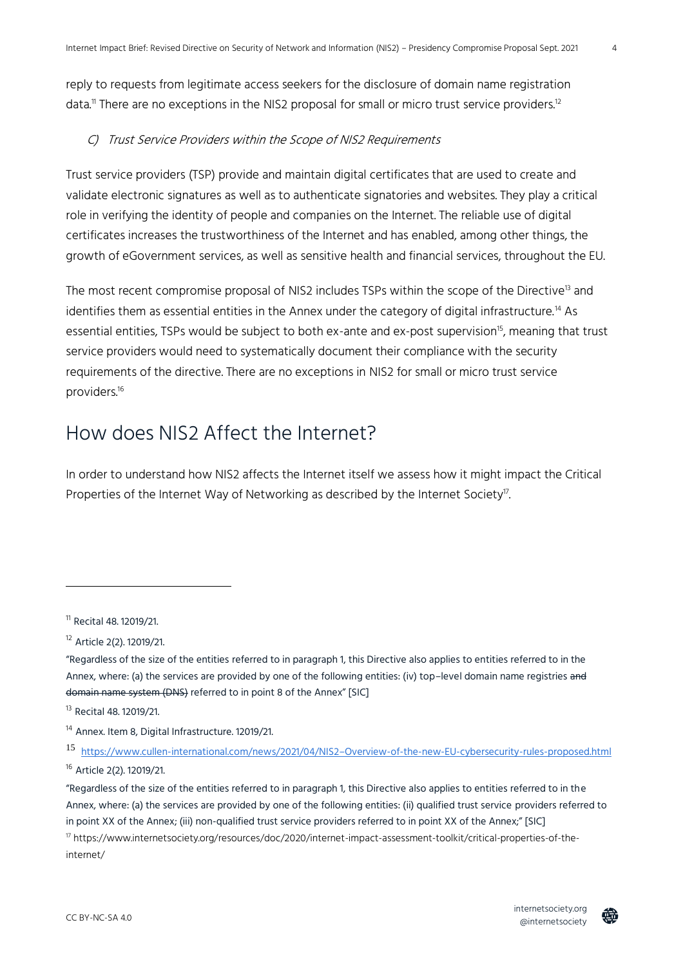reply to requests from legitimate access seekers for the disclosure of domain name registration data.<sup>11</sup> There are no exceptions in the NIS2 proposal for small or micro trust service providers.<sup>12</sup>

#### C) Trust Service Providers within the Scope of NIS2 Requirements

Trust service providers (TSP) provide and maintain digital certificates that are used to create and validate electronic signatures as well as to authenticate signatories and websites. They play a critical role in verifying the identity of people and companies on the Internet. The reliable use of digital certificates increases the trustworthiness of the Internet and has enabled, among other things, the growth of eGovernment services, as well as sensitive health and financial services, throughout the EU.

The most recent compromise proposal of NIS2 includes TSPs within the scope of the Directive<sup>13</sup> and identifies them as essential entities in the Annex under the category of digital infrastructure.<sup>14</sup> As essential entities, TSPs would be subject to both ex-ante and ex-post supervision<sup>15</sup>, meaning that trust service providers would need to systematically document their compliance with the security requirements of the directive. There are no exceptions in NIS2 for small or micro trust service providers.<sup>16</sup>

# How does NIS2 Affect the Internet?

In order to understand how NIS2 affects the Internet itself we assess how it might impact the Critical Properties of the Internet Way of Networking as described by the Internet Society<sup>17</sup>. .



@internetsociety

4

<sup>11</sup> Recital 48. 12019/21.

<sup>12</sup> Article 2(2). 12019/21.

<sup>&</sup>quot;Regardless of the size of the entities referred to in paragraph 1, this Directive also applies to entities referred to in the Annex, where: (a) the services are provided by one of the following entities: (iv) top-level domain name registries and domain name system (DNS) referred to in point 8 of the Annex" [SIC]

<sup>13</sup> Recital 48. 12019/21.

<sup>&</sup>lt;sup>14</sup> Annex. Item 8, Digital Infrastructure. 12019/21.

<sup>15</sup> https://www.cullen-international.com/news/2021/04/NIS2–[Overview-of-the-new-EU-cybersecurity-rules-proposed.html](https://www.cullen-international.com/news/2021/04/NIS2--Overview-of-the-new-EU-cybersecurity-rules-proposed.html) <sup>16</sup> Article 2(2). 12019/21.

<sup>&</sup>quot;Regardless of the size of the entities referred to in paragraph 1, this Directive also applies to entities referred to in the Annex, where: (a) the services are provided by one of the following entities: (ii) qualified trust service providers referred to in point XX of the Annex; (iii) non-qualified trust service providers referred to in point XX of the Annex;" [SIC] <sup>17</sup> https://www.internetsociety.org/resources/doc/2020/internet-impact-assessment-toolkit/critical-properties-of-theinternet/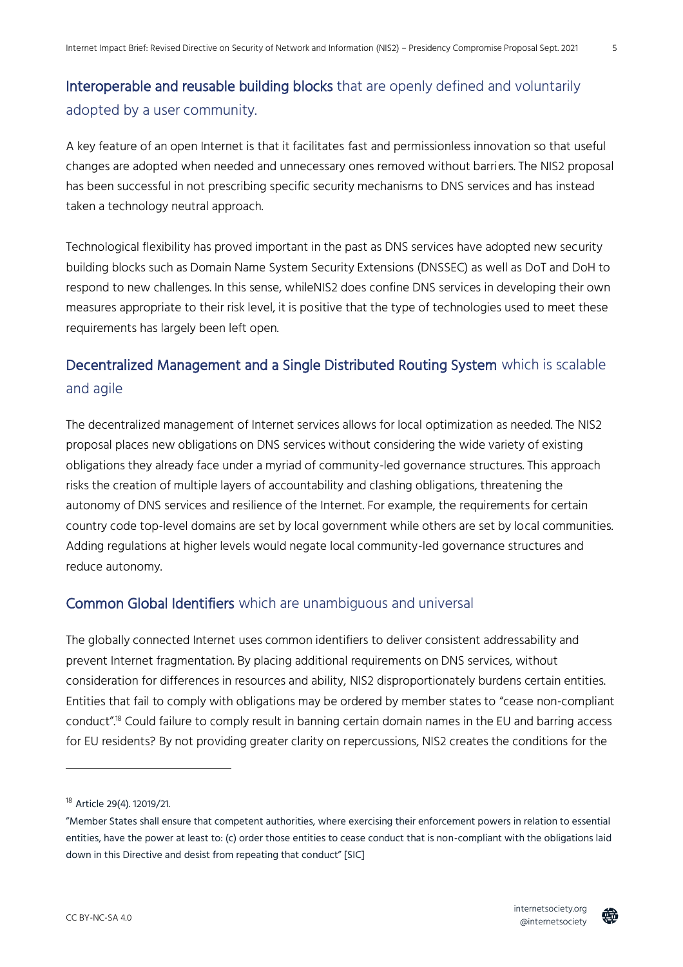## Interoperable and reusable building blocks that are openly defined and voluntarily adopted by a user community.

A key feature of an open Internet is that it facilitates fast and permissionless innovation so that useful changes are adopted when needed and unnecessary ones removed without barriers. The NIS2 proposal has been successful in not prescribing specific security mechanisms to DNS services and has instead taken a technology neutral approach.

Technological flexibility has proved important in the past as DNS services have adopted new security building blocks such as Domain Name System Security Extensions (DNSSEC) as well as DoT and DoH to respond to new challenges. In this sense, whileNIS2 does confine DNS services in developing their own measures appropriate to their risk level, it is positive that the type of technologies used to meet these requirements has largely been left open.

# Decentralized Management and a Single Distributed Routing System which is scalable and agile

The decentralized management of Internet services allows for local optimization as needed. The NIS2 proposal places new obligations on DNS services without considering the wide variety of existing obligations they already face under a myriad of community-led governance structures. This approach risks the creation of multiple layers of accountability and clashing obligations, threatening the autonomy of DNS services and resilience of the Internet. For example, the requirements for certain country code top-level domains are set by local government while others are set by local communities. Adding regulations at higher levels would negate local community-led governance structures and reduce autonomy.

## Common Global Identifiers which are unambiguous and universal

The globally connected Internet uses common identifiers to deliver consistent addressability and prevent Internet fragmentation. By placing additional requirements on DNS services, without consideration for differences in resources and ability, NIS2 disproportionately burdens certain entities. Entities that fail to comply with obligations may be ordered by member states to "cease non-compliant conduct". <sup>18</sup> Could failure to comply result in banning certain domain names in the EU and barring access for EU residents? By not providing greater clarity on repercussions, NIS2 creates the conditions for the



<sup>&</sup>lt;sup>18</sup> Article 29(4). 12019/21.

<sup>&</sup>quot;Member States shall ensure that competent authorities, where exercising their enforcement powers in relation to essential entities, have the power at least to: (c) order those entities to cease conduct that is non-compliant with the obligations laid down in this Directive and desist from repeating that conduct" [SIC]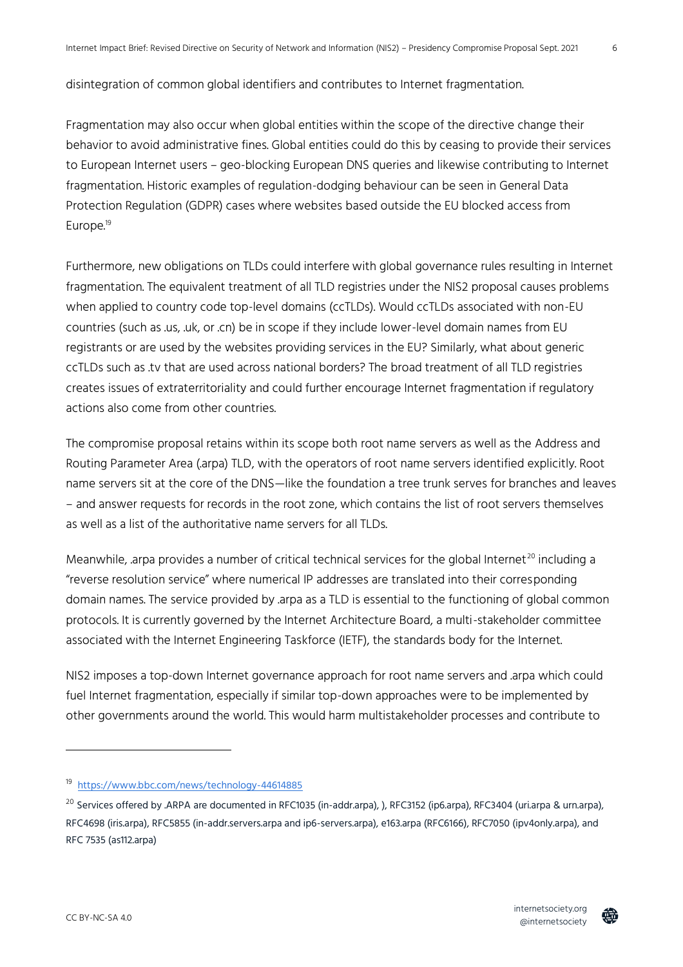disintegration of common global identifiers and contributes to Internet fragmentation.

Fragmentation may also occur when global entities within the scope of the directive change their behavior to avoid administrative fines. Global entities could do this by ceasing to provide their services to European Internet users – geo-blocking European DNS queries and likewise contributing to Internet fragmentation. Historic examples of regulation-dodging behaviour can be seen in General Data Protection Regulation (GDPR) cases where websites based outside the EU blocked access from Europe.<sup>19</sup>

Furthermore, new obligations on TLDs could interfere with global governance rules resulting in Internet fragmentation. The equivalent treatment of all TLD registries under the NIS2 proposal causes problems when applied to country code top-level domains (ccTLDs). Would ccTLDs associated with non-EU countries (such as .us, .uk, or .cn) be in scope if they include lower-level domain names from EU registrants or are used by the websites providing services in the EU? Similarly, what about generic ccTLDs such as .tv that are used across national borders? The broad treatment of all TLD registries creates issues of extraterritoriality and could further encourage Internet fragmentation if regulatory actions also come from other countries.

The compromise proposal retains within its scope both root name servers as well as the Address and Routing Parameter Area (.arpa) TLD, with the operators of root name servers identified explicitly. Root name servers sit at the core of the DNS—like the foundation a tree trunk serves for branches and leaves – and answer requests for records in the root zone, which contains the list of root servers themselves as well as a list of the authoritative name servers for all TLDs.

Meanwhile, arpa provides a number of critical technical services for the global Internet<sup>20</sup> including a "reverse resolution service" where numerical IP addresses are translated into their corresponding domain names. The service provided by .arpa as a TLD is essential to the functioning of global common protocols. It is currently governed by the Internet Architecture Board, a multi-stakeholder committee associated with the Internet Engineering Taskforce (IETF), the standards body for the Internet.

NIS2 imposes a top-down Internet governance approach for root name servers and .arpa which could fuel Internet fragmentation, especially if similar top-down approaches were to be implemented by other governments around the world. This would harm multistakeholder processes and contribute to



<sup>19</sup> <https://www.bbc.com/news/technology-44614885>

 $^{20}$  Services offered by .ARPA are documented in RFC1035 (in-addr.arpa), ), RFC3152 (ip6.arpa), RFC3404 (uri.arpa & urn.arpa), RFC4698 (iris.arpa), RFC5855 (in-addr.servers.arpa and ip6-servers.arpa), e163.arpa (RFC6166), RFC7050 (ipv4only.arpa), and RFC 7535 (as112.arpa)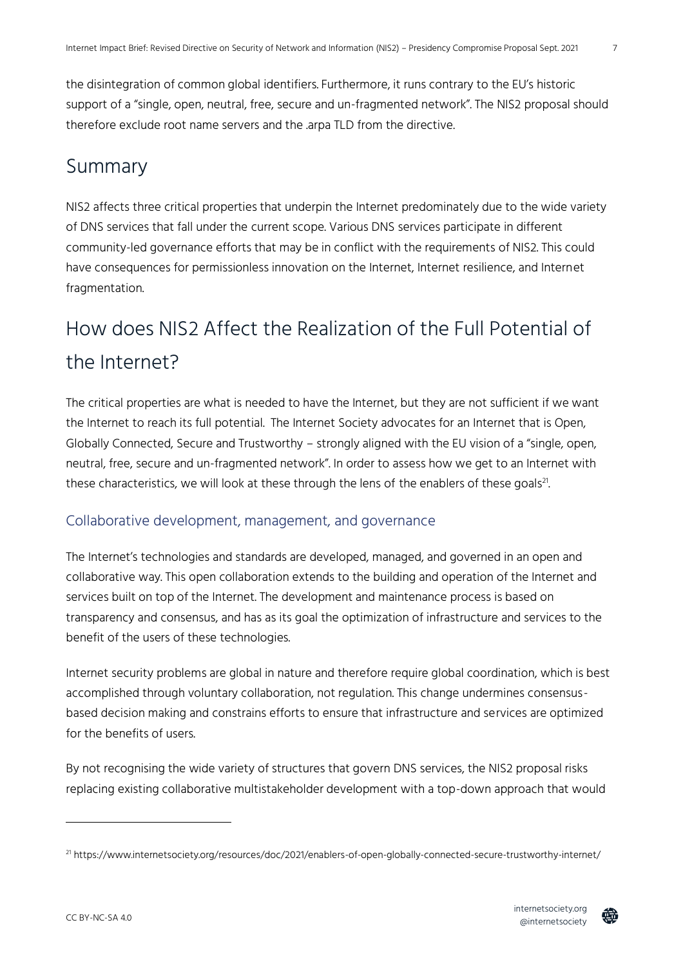the disintegration of common global identifiers. Furthermore, it runs contrary to the EU's historic support of a "single, open, neutral, free, secure and un-fragmented network". The NIS2 proposal should therefore exclude root name servers and the .arpa TLD from the directive.

# Summary

NIS2 affects three critical properties that underpin the Internet predominately due to the wide variety of DNS services that fall under the current scope. Various DNS services participate in different community-led governance efforts that may be in conflict with the requirements of NIS2. This could have consequences for permissionless innovation on the Internet, Internet resilience, and Internet fragmentation.

# How does NIS2 Affect the Realization of the Full Potential of the Internet?

The critical properties are what is needed to have the Internet, but they are not sufficient if we want the Internet to reach its full potential. The Internet Society advocates for an Internet that is Open, Globally Connected, Secure and Trustworthy – strongly aligned with the EU vision of a "single, open, neutral, free, secure and un-fragmented network". In order to assess how we get to an Internet with these characteristics, we will look at these through the lens of the enablers of these goals $^{21}$ . .

## Collaborative development, management, and governance

The Internet's technologies and standards are developed, managed, and governed in an open and collaborative way. This open collaboration extends to the building and operation of the Internet and services built on top of the Internet. The development and maintenance process is based on transparency and consensus, and has as its goal the optimization of infrastructure and services to the benefit of the users of these technologies.

Internet security problems are global in nature and therefore require global coordination, which is best accomplished through voluntary collaboration, not regulation. This change undermines consensusbased decision making and constrains efforts to ensure that infrastructure and services are optimized for the benefits of users.

By not recognising the wide variety of structures that govern DNS services, the NIS2 proposal risks replacing existing collaborative multistakeholder development with a top-down approach that would



<sup>21</sup> https://www.internetsociety.org/resources/doc/2021/enablers-of-open-globally-connected-secure-trustworthy-internet/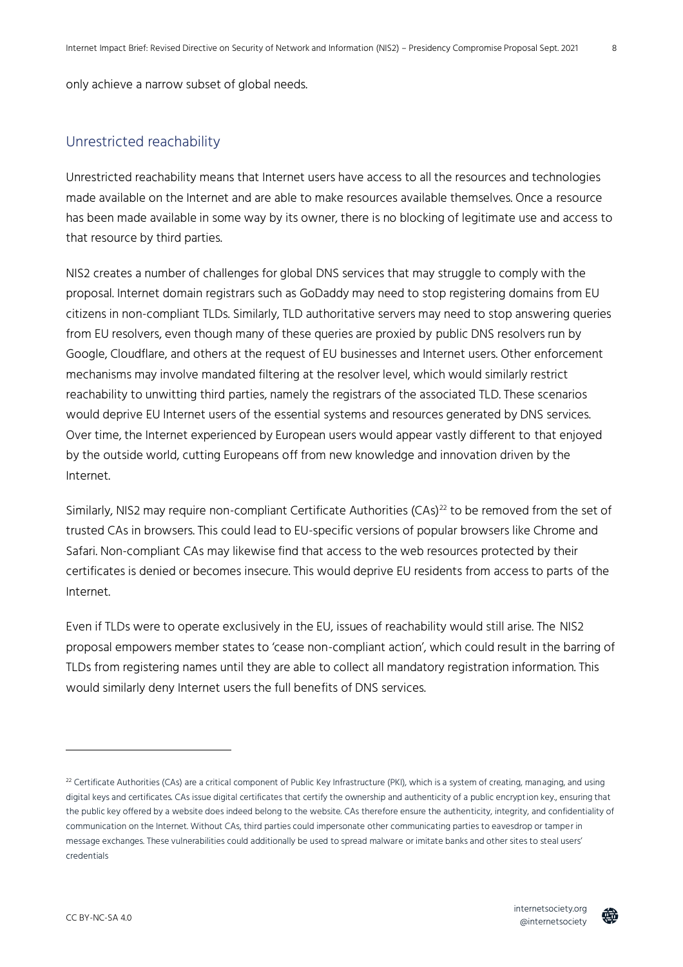only achieve a narrow subset of global needs.

#### Unrestricted reachability

Unrestricted reachability means that Internet users have access to all the resources and technologies made available on the Internet and are able to make resources available themselves. Once a resource has been made available in some way by its owner, there is no blocking of legitimate use and access to that resource by third parties.

NIS2 creates a number of challenges for global DNS services that may struggle to comply with the proposal. Internet domain registrars such as GoDaddy may need to stop registering domains from EU citizens in non-compliant TLDs. Similarly, TLD authoritative servers may need to stop answering queries from EU resolvers, even though many of these queries are proxied by public DNS resolvers run by Google, Cloudflare, and others at the request of EU businesses and Internet users. Other enforcement mechanisms may involve mandated filtering at the resolver level, which would similarly restrict reachability to unwitting third parties, namely the registrars of the associated TLD. These scenarios would deprive EU Internet users of the essential systems and resources generated by DNS services. Over time, the Internet experienced by European users would appear vastly different to that enjoyed by the outside world, cutting Europeans off from new knowledge and innovation driven by the Internet.

Similarly, NIS2 may require non-compliant Certificate Authorities (CAs)<sup>22</sup> to be removed from the set of trusted CAs in browsers. This could lead to EU-specific versions of popular browsers like Chrome and Safari. Non-compliant CAs may likewise find that access to the web resources protected by their certificates is denied or becomes insecure. This would deprive EU residents from access to parts of the Internet.

Even if TLDs were to operate exclusively in the EU, issues of reachability would still arise. The NIS2 proposal empowers member states to 'cease non-compliant action', which could result in the barring of TLDs from registering names until they are able to collect all mandatory registration information. This would similarly deny Internet users the full benefits of DNS services.



8

 $^{22}$  Certificate Authorities (CAs) are a critical component of Public Key Infrastructure (PKI), which is a system of creating, managing, and using digital keys and certificates. CAs issue digital certificates that certify the ownership and authenticity of a public encryption key., ensuring that the public key offered by a website does indeed belong to the website. CAs therefore ensure the authenticity, integrity, and confidentiality of communication on the Internet. Without CAs, third parties could impersonate other communicating parties to eavesdrop or tamper in message exchanges. These vulnerabilities could additionally be used to spread malware or imitate banks and other sites to steal users' credentials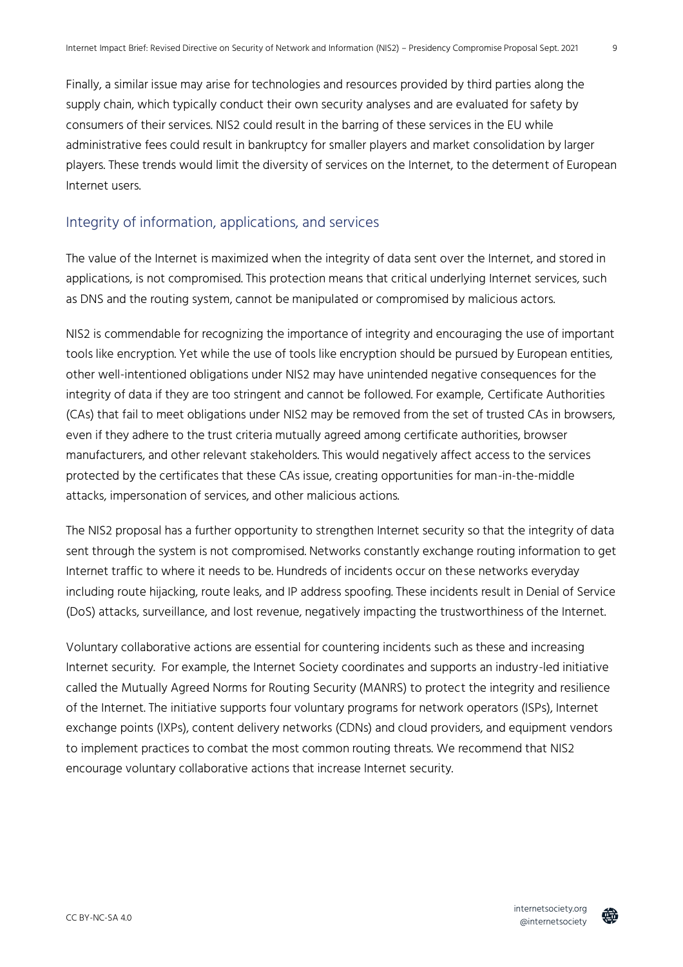Finally, a similar issue may arise for technologies and resources provided by third parties along the supply chain, which typically conduct their own security analyses and are evaluated for safety by consumers of their services. NIS2 could result in the barring of these services in the EU while administrative fees could result in bankruptcy for smaller players and market consolidation by larger players. These trends would limit the diversity of services on the Internet, to the determent of European Internet users.

## Integrity of information, applications, and services

The value of the Internet is maximized when the integrity of data sent over the Internet, and stored in applications, is not compromised. This protection means that critical underlying Internet services, such as DNS and the routing system, cannot be manipulated or compromised by malicious actors.

NIS2 is commendable for recognizing the importance of integrity and encouraging the use of important tools like encryption. Yet while the use of tools like encryption should be pursued by European entities, other well-intentioned obligations under NIS2 may have unintended negative consequences for the integrity of data if they are too stringent and cannot be followed. For example, Certificate Authorities (CAs) that fail to meet obligations under NIS2 may be removed from the set of trusted CAs in browsers, even if they adhere to the trust criteria mutually agreed among certificate authorities, browser manufacturers, and other relevant stakeholders. This would negatively affect access to the services protected by the certificates that these CAs issue, creating opportunities for man-in-the-middle attacks, impersonation of services, and other malicious actions.

The NIS2 proposal has a further opportunity to strengthen Internet security so that the integrity of data sent through the system is not compromised. Networks constantly exchange routing information to get Internet traffic to where it needs to be. Hundreds of incidents occur on these networks everyday including route hijacking, route leaks, and IP address spoofing. These incidents result in Denial of Service (DoS) attacks, surveillance, and lost revenue, negatively impacting the trustworthiness of the Internet.

Voluntary collaborative actions are essential for countering incidents such as these and increasing Internet security. For example, the Internet Society coordinates and supports an industry-led initiative called the Mutually Agreed Norms for Routing Security (MANRS) to protect the integrity and resilience of the Internet. The initiative supports four voluntary programs for network operators (ISPs), Internet exchange points (IXPs), content delivery networks (CDNs) and cloud providers, and equipment vendors to implement practices to combat the most common routing threats. We recommend that NIS2 encourage voluntary collaborative actions that increase Internet security.

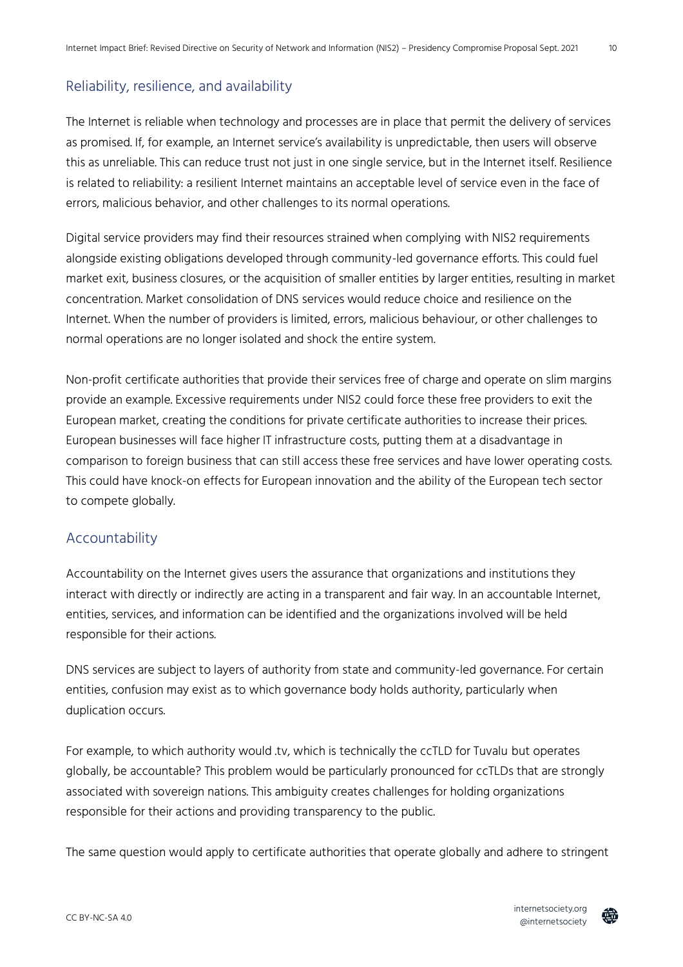### Reliability, resilience, and availability

The Internet is reliable when technology and processes are in place that permit the delivery of services as promised. If, for example, an Internet service's availability is unpredictable, then users will observe this as unreliable. This can reduce trust not just in one single service, but in the Internet itself. Resilience is related to reliability: a resilient Internet maintains an acceptable level of service even in the face of errors, malicious behavior, and other challenges to its normal operations.

Digital service providers may find their resources strained when complying with NIS2 requirements alongside existing obligations developed through community-led governance efforts. This could fuel market exit, business closures, or the acquisition of smaller entities by larger entities, resulting in market concentration. Market consolidation of DNS services would reduce choice and resilience on the Internet. When the number of providers is limited, errors, malicious behaviour, or other challenges to normal operations are no longer isolated and shock the entire system.

Non-profit certificate authorities that provide their services free of charge and operate on slim margins provide an example. Excessive requirements under NIS2 could force these free providers to exit the European market, creating the conditions for private certificate authorities to increase their prices. European businesses will face higher IT infrastructure costs, putting them at a disadvantage in comparison to foreign business that can still access these free services and have lower operating costs. This could have knock-on effects for European innovation and the ability of the European tech sector to compete globally.

#### **Accountability**

Accountability on the Internet gives users the assurance that organizations and institutions they interact with directly or indirectly are acting in a transparent and fair way. In an accountable Internet, entities, services, and information can be identified and the organizations involved will be held responsible for their actions.

DNS services are subject to layers of authority from state and community-led governance. For certain entities, confusion may exist as to which governance body holds authority, particularly when duplication occurs.

For example, to which authority would .tv, which is technically the ccTLD for Tuvalu but operates globally, be accountable? This problem would be particularly pronounced for ccTLDs that are strongly associated with sovereign nations. This ambiguity creates challenges for holding organizations responsible for their actions and providing transparency to the public.

The same question would apply to certificate authorities that operate globally and adhere to stringent



 $10$